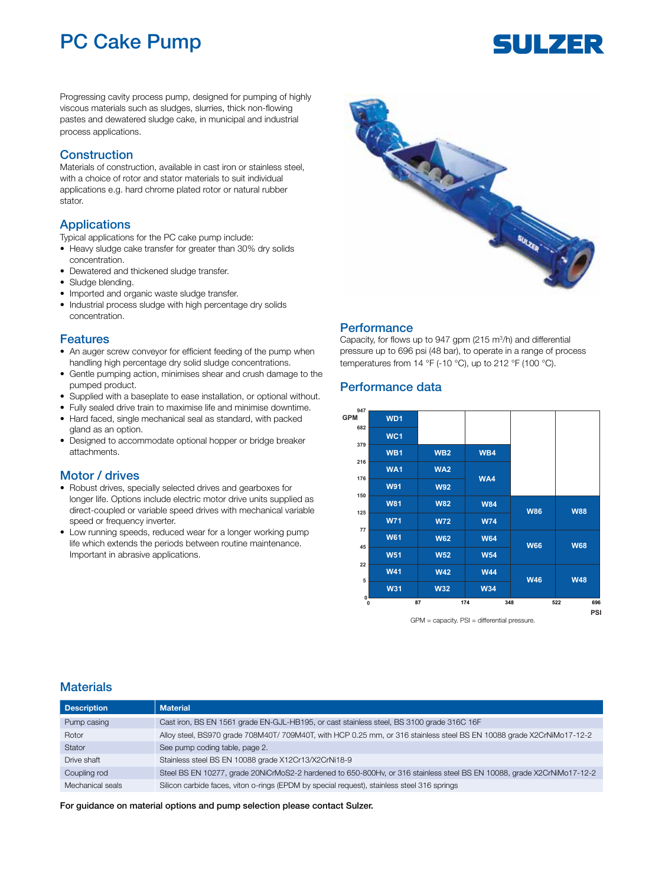## PC Cake Pump

# SULZER

Progressing cavity process pump, designed for pumping of highly viscous materials such as sludges, slurries, thick non-flowing pastes and dewatered sludge cake, in municipal and industrial process applications.

#### **Construction**

Materials of construction, available in cast iron or stainless steel, with a choice of rotor and stator materials to suit individual applications e.g. hard chrome plated rotor or natural rubber stator.

#### Applications

Typical applications for the PC cake pump include:

- Heavy sludge cake transfer for greater than 30% dry solids concentration.
- Dewatered and thickened sludge transfer.
- Sludge blending.
- Imported and organic waste sludge transfer.
- Industrial process sludge with high percentage dry solids concentration.

#### Features

- An auger screw conveyor for efficient feeding of the pump when handling high percentage dry solid sludge concentrations.
- Gentle pumping action, minimises shear and crush damage to the pumped product.
- Supplied with a baseplate to ease installation, or optional without.
- Fully sealed drive train to maximise life and minimise downtime.
- Hard faced, single mechanical seal as standard, with packed gland as an option.
- Designed to accommodate optional hopper or bridge breaker attachments.

#### Motor / drives

- Robust drives, specially selected drives and gearboxes for longer life. Options include electric motor drive units supplied as direct-coupled or variable speed drives with mechanical variable speed or frequency inverter.
- Low running speeds, reduced wear for a longer working pump life which extends the periods between routine maintenance. Important in abrasive applications.



#### **Performance**

Capacity, for flows up to 947 gpm  $(215 \text{ m}^3/\text{h})$  and differential pressure up to 696 psi (48 bar), to operate in a range of process temperatures from 14  $\degree$ F (-10  $\degree$ C), up to 212  $\degree$ F (100  $\degree$ C).

#### Performance data



GPM = capacity. PSI = differential pressure.

#### **Materials**

| <b>Description</b> | <b>Material</b>                                                                                                        |
|--------------------|------------------------------------------------------------------------------------------------------------------------|
| Pump casing        | Cast iron, BS EN 1561 grade EN-GJL-HB195, or cast stainless steel, BS 3100 grade 316C 16F                              |
| Rotor              | Alloy steel, BS970 grade 708M40T/ 709M40T, with HCP 0.25 mm, or 316 stainless steel BS EN 10088 grade X2CrNiMo17-12-2  |
| Stator             | See pump coding table, page 2.                                                                                         |
| Drive shaft        | Stainless steel BS EN 10088 grade X12Cr13/X2CrNi18-9                                                                   |
| Coupling rod       | Steel BS EN 10277, grade 20NiCrMoS2-2 hardened to 650-800Hv, or 316 stainless steel BS EN 10088, grade X2CrNiMo17-12-2 |
| Mechanical seals   | Silicon carbide faces, viton o-rings (EPDM by special request), stainless steel 316 springs                            |

For guidance on material options and pump selection please contact Sulzer.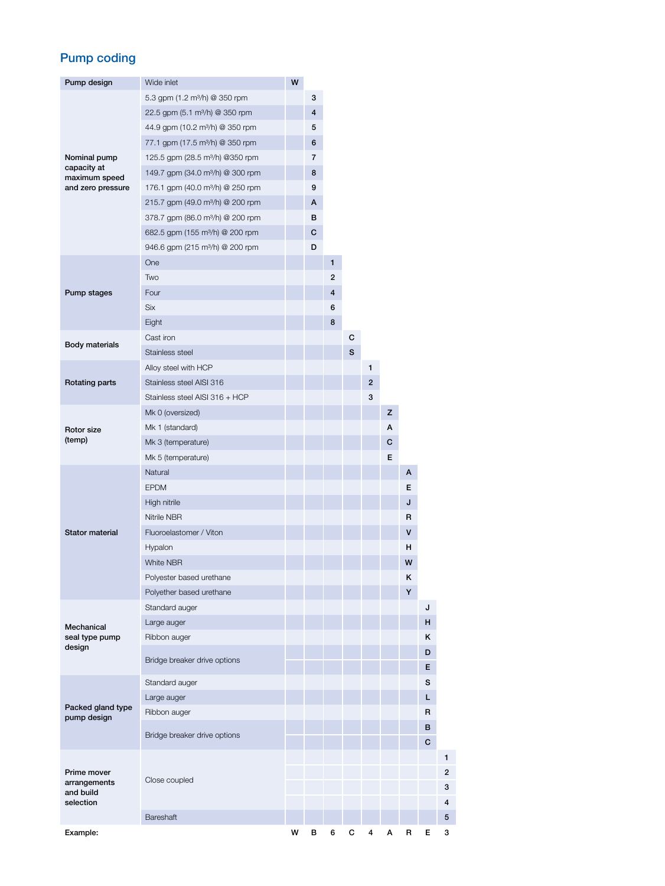## Pump coding

| Pump design                                                       | Wide inlet                                   | W |                |   |   |   |   |              |    |   |
|-------------------------------------------------------------------|----------------------------------------------|---|----------------|---|---|---|---|--------------|----|---|
|                                                                   | 5.3 gpm (1.2 m <sup>3</sup> /h) @ 350 rpm    |   | 3              |   |   |   |   |              |    |   |
|                                                                   | 22.5 gpm (5.1 m <sup>3</sup> /h) @ 350 rpm   |   | 4              |   |   |   |   |              |    |   |
|                                                                   | 44.9 gpm (10.2 m <sup>3</sup> /h) @ 350 rpm  |   | 5              |   |   |   |   |              |    |   |
|                                                                   | 77.1 gpm (17.5 m <sup>3</sup> /h) @ 350 rpm  |   | 6              |   |   |   |   |              |    |   |
| Nominal pump<br>capacity at<br>maximum speed<br>and zero pressure | 125.5 gpm (28.5 m <sup>3</sup> /h) @350 rpm  |   | $\overline{7}$ |   |   |   |   |              |    |   |
|                                                                   | 149.7 gpm (34.0 m <sup>3</sup> /h) @ 300 rpm |   | 8              |   |   |   |   |              |    |   |
|                                                                   | 176.1 gpm (40.0 m <sup>3</sup> /h) @ 250 rpm |   | 9              |   |   |   |   |              |    |   |
|                                                                   | 215.7 gpm (49.0 m <sup>3</sup> /h) @ 200 rpm |   | A              |   |   |   |   |              |    |   |
|                                                                   | 378.7 gpm (86.0 m <sup>3</sup> /h) @ 200 rpm |   | в              |   |   |   |   |              |    |   |
|                                                                   | 682.5 gpm (155 m <sup>3</sup> /h) @ 200 rpm  |   | с              |   |   |   |   |              |    |   |
|                                                                   | 946.6 gpm (215 m <sup>3</sup> /h) @ 200 rpm  |   | D              |   |   |   |   |              |    |   |
|                                                                   | One                                          |   |                | 1 |   |   |   |              |    |   |
|                                                                   | Two                                          |   |                | 2 |   |   |   |              |    |   |
| Pump stages                                                       | Four                                         |   |                | 4 |   |   |   |              |    |   |
|                                                                   | <b>Six</b>                                   |   |                | 6 |   |   |   |              |    |   |
|                                                                   | Eight                                        |   |                | 8 |   |   |   |              |    |   |
|                                                                   | Cast iron                                    |   |                |   | с |   |   |              |    |   |
| <b>Body materials</b>                                             | Stainless steel                              |   |                |   | S |   |   |              |    |   |
|                                                                   | Alloy steel with HCP                         |   |                |   |   | 1 |   |              |    |   |
| Rotating parts                                                    | Stainless steel AISI 316                     |   |                |   |   | 2 |   |              |    |   |
|                                                                   | Stainless steel AISI 316 + HCP               |   |                |   |   | 3 |   |              |    |   |
|                                                                   | Mk 0 (oversized)                             |   |                |   |   |   | z |              |    |   |
| Rotor size                                                        | Mk 1 (standard)                              |   |                |   |   |   | А |              |    |   |
| (temp)                                                            | Mk 3 (temperature)                           |   |                |   |   |   | С |              |    |   |
|                                                                   | Mk 5 (temperature)                           |   |                |   |   |   | E |              |    |   |
|                                                                   | Natural                                      |   |                |   |   |   |   | A            |    |   |
|                                                                   | <b>EPDM</b>                                  |   |                |   |   |   |   | E.           |    |   |
|                                                                   | High nitrile                                 |   |                |   |   |   |   | J            |    |   |
|                                                                   | Nitrile NBR                                  |   |                |   |   |   |   | $\mathsf{R}$ |    |   |
| <b>Stator material</b>                                            | Fluoroelastomer / Viton                      |   |                |   |   |   |   | V            |    |   |
|                                                                   | Hypalon                                      |   |                |   |   |   |   | н            |    |   |
|                                                                   | <b>White NBR</b>                             |   |                |   |   |   |   | W            |    |   |
|                                                                   | Polyester based urethane                     |   |                |   |   |   |   | Κ            |    |   |
|                                                                   | Polyether based urethane                     |   |                |   |   |   |   | Υ            |    |   |
|                                                                   | Standard auger                               |   |                |   |   |   |   |              | J  |   |
| Mechanical                                                        | Large auger                                  |   |                |   |   |   |   |              | н  |   |
| seal type pump                                                    | Ribbon auger                                 |   |                |   |   |   |   |              | κ  |   |
| design                                                            |                                              |   |                |   |   |   |   |              | D  |   |
|                                                                   | Bridge breaker drive options                 |   |                |   |   |   |   |              | E. |   |
|                                                                   | Standard auger                               |   |                |   |   |   |   |              | s  |   |
|                                                                   | Large auger                                  |   |                |   |   |   |   |              | L  |   |
| Packed gland type                                                 | Ribbon auger                                 |   |                |   |   |   |   |              | R  |   |
| pump design                                                       |                                              |   |                |   |   |   |   |              | в  |   |
|                                                                   | Bridge breaker drive options                 |   |                |   |   |   |   |              | C  |   |
|                                                                   |                                              |   |                |   |   |   |   |              |    | 1 |
| Prime mover                                                       |                                              |   |                |   |   |   |   |              |    | 2 |
| arrangements<br>and build                                         | Close coupled                                |   |                |   |   |   |   |              |    | 3 |
| selection                                                         |                                              |   |                |   |   |   |   |              |    | 4 |
|                                                                   | Bareshaft                                    |   |                |   |   |   |   |              |    | 5 |
| Example:                                                          |                                              | W | в              | 6 | C | 4 | А | R            | Е  | 3 |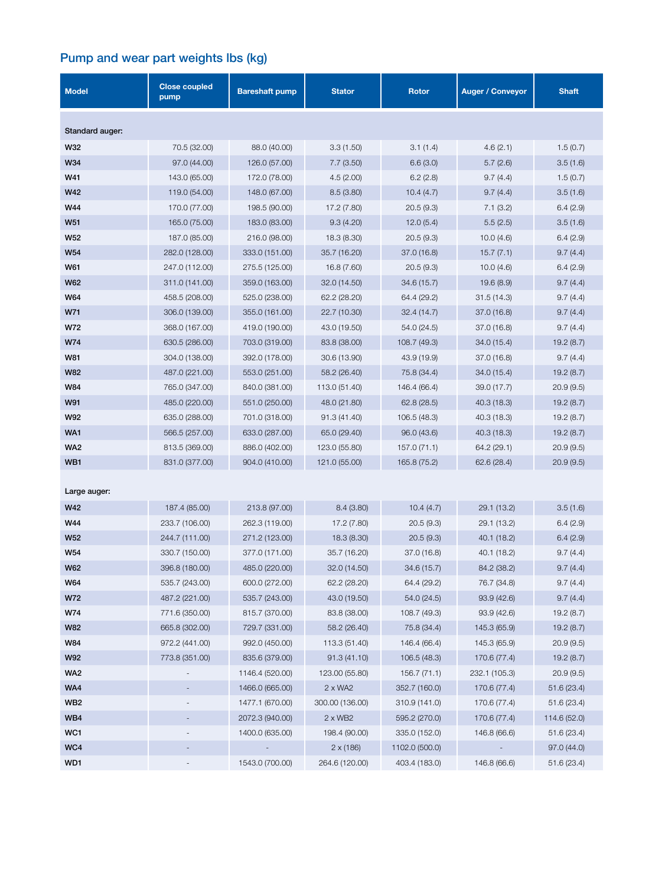## Pump and wear part weights lbs (kg)

| <b>Model</b>    | <b>Close coupled</b><br>pump | <b>Bareshaft pump</b> | <b>Stator</b>    | Rotor          | <b>Auger / Conveyor</b> | <b>Shaft</b> |  |  |
|-----------------|------------------------------|-----------------------|------------------|----------------|-------------------------|--------------|--|--|
| Standard auger: |                              |                       |                  |                |                         |              |  |  |
| W32             | 70.5 (32.00)                 | 88.0 (40.00)          | 3.3(1.50)        | 3.1(1.4)       | 4.6(2.1)                | 1.5(0.7)     |  |  |
| W34             | 97.0 (44.00)                 | 126.0 (57.00)         | 7.7(3.50)        | 6.6(3.0)       | 5.7(2.6)                | 3.5(1.6)     |  |  |
| W41             | 143.0 (65.00)                | 172.0 (78.00)         | 4.5(2.00)        | 6.2(2.8)       | 9.7(4.4)                | 1.5(0.7)     |  |  |
| W42             | 119.0 (54.00)                | 148.0 (67.00)         | 8.5(3.80)        | 10.4(4.7)      | 9.7(4.4)                | 3.5(1.6)     |  |  |
| W44             | 170.0 (77.00)                | 198.5 (90.00)         | 17.2 (7.80)      | 20.5(9.3)      | 7.1(3.2)                | 6.4(2.9)     |  |  |
| W51             | 165.0 (75.00)                | 183.0 (83.00)         | 9.3(4.20)        | 12.0(5.4)      | 5.5(2.5)                | 3.5(1.6)     |  |  |
| W52             | 187.0 (85.00)                | 216.0 (98.00)         | 18.3 (8.30)      | 20.5(9.3)      | 10.0(4.6)               | 6.4(2.9)     |  |  |
| W54             | 282.0 (128.00)               | 333.0 (151.00)        | 35.7 (16.20)     | 37.0 (16.8)    | 15.7(7.1)               | 9.7(4.4)     |  |  |
| W61             | 247.0 (112.00)               | 275.5 (125.00)        | 16.8 (7.60)      | 20.5(9.3)      | 10.0(4.6)               | 6.4(2.9)     |  |  |
| <b>W62</b>      | 311.0 (141.00)               | 359.0 (163.00)        | 32.0 (14.50)     | 34.6 (15.7)    | 19.6 (8.9)              | 9.7(4.4)     |  |  |
| W64             | 458.5 (208.00)               | 525.0 (238.00)        | 62.2 (28.20)     | 64.4 (29.2)    | 31.5(14.3)              | 9.7(4.4)     |  |  |
| W71             | 306.0 (139.00)               | 355.0 (161.00)        | 22.7 (10.30)     | 32.4 (14.7)    | 37.0 (16.8)             | 9.7(4.4)     |  |  |
| W72             | 368.0 (167.00)               | 419.0 (190.00)        | 43.0 (19.50)     | 54.0 (24.5)    | 37.0 (16.8)             | 9.7(4.4)     |  |  |
| W74             | 630.5 (286.00)               | 703.0 (319.00)        | 83.8 (38.00)     | 108.7 (49.3)   | 34.0 (15.4)             | 19.2 (8.7)   |  |  |
| W81             | 304.0 (138.00)               | 392.0 (178.00)        | 30.6 (13.90)     | 43.9 (19.9)    | 37.0 (16.8)             | 9.7(4.4)     |  |  |
| <b>W82</b>      | 487.0 (221.00)               | 553.0 (251.00)        | 58.2 (26.40)     | 75.8 (34.4)    | 34.0 (15.4)             | 19.2(8.7)    |  |  |
| <b>W84</b>      | 765.0 (347.00)               | 840.0 (381.00)        | 113.0 (51.40)    | 146.4 (66.4)   | 39.0 (17.7)             | 20.9(9.5)    |  |  |
| W91             | 485.0 (220.00)               | 551.0 (250.00)        | 48.0 (21.80)     | 62.8(28.5)     | 40.3 (18.3)             | 19.2(8.7)    |  |  |
| W92             | 635.0 (288.00)               | 701.0 (318.00)        | 91.3 (41.40)     | 106.5 (48.3)   | 40.3 (18.3)             | 19.2(8.7)    |  |  |
| WA1             | 566.5 (257.00)               | 633.0 (287.00)        | 65.0 (29.40)     | 96.0 (43.6)    | 40.3 (18.3)             | 19.2(8.7)    |  |  |
| WA <sub>2</sub> | 813.5 (369.00)               | 886.0 (402.00)        | 123.0 (55.80)    | 157.0 (71.1)   | 64.2 (29.1)             | 20.9(9.5)    |  |  |
| WB1             | 831.0 (377.00)               | 904.0 (410.00)        | 121.0 (55.00)    | 165.8 (75.2)   | 62.6 (28.4)             | 20.9(9.5)    |  |  |
| Large auger:    |                              |                       |                  |                |                         |              |  |  |
| <b>W42</b>      | 187.4 (85.00)                | 213.8 (97.00)         | 8.4 (3.80)       | 10.4(4.7)      | 29.1 (13.2)             | 3.5(1.6)     |  |  |
| W44             | 233.7 (106.00)               | 262.3 (119.00)        | 17.2 (7.80)      | 20.5(9.3)      | 29.1 (13.2)             | 6.4(2.9)     |  |  |
| <b>W52</b>      | 244.7 (111.00)               | 271.2 (123.00)        | 18.3 (8.30)      | 20.5(9.3)      | 40.1 (18.2)             | 6.4(2.9)     |  |  |
| W54             | 330.7 (150.00)               | 377.0 (171.00)        | 35.7 (16.20)     | 37.0 (16.8)    | 40.1 (18.2)             | 9.7(4.4)     |  |  |
| W62             | 396.8 (180.00)               | 485.0 (220.00)        | 32.0 (14.50)     | 34.6 (15.7)    | 84.2 (38.2)             | 9.7(4.4)     |  |  |
| W64             | 535.7 (243.00)               | 600.0 (272.00)        | 62.2 (28.20)     | 64.4 (29.2)    | 76.7 (34.8)             | 9.7(4.4)     |  |  |
| W72             | 487.2 (221.00)               | 535.7 (243.00)        | 43.0 (19.50)     | 54.0 (24.5)    | 93.9(42.6)              | 9.7(4.4)     |  |  |
| W74             | 771.6 (350.00)               | 815.7 (370.00)        | 83.8 (38.00)     | 108.7 (49.3)   | 93.9(42.6)              | 19.2 (8.7)   |  |  |
| W82             | 665.8 (302.00)               | 729.7 (331.00)        | 58.2 (26.40)     | 75.8 (34.4)    | 145.3 (65.9)            | 19.2(8.7)    |  |  |
| W84             | 972.2 (441.00)               | 992.0 (450.00)        | 113.3 (51.40)    | 146.4 (66.4)   | 145.3 (65.9)            | 20.9(9.5)    |  |  |
| W92             | 773.8 (351.00)               | 835.6 (379.00)        | 91.3 (41.10)     | 106.5(48.3)    | 170.6 (77.4)            | 19.2(8.7)    |  |  |
| WA <sub>2</sub> |                              | 1146.4 (520.00)       | 123.00 (55.80)   | 156.7(71.1)    | 232.1 (105.3)           | 20.9(9.5)    |  |  |
| WA4             |                              | 1466.0 (665.00)       | $2 \times W A2$  | 352.7 (160.0)  | 170.6 (77.4)            | 51.6 (23.4)  |  |  |
| WB <sub>2</sub> |                              | 1477.1 (670.00)       | 300.00 (136.00)  | 310.9 (141.0)  | 170.6 (77.4)            | 51.6 (23.4)  |  |  |
| WB4             |                              | 2072.3 (940.00)       | $2 \times WB2$   | 595.2 (270.0)  | 170.6 (77.4)            | 114.6 (52.0) |  |  |
| WC1             |                              | 1400.0 (635.00)       | 198.4 (90.00)    | 335.0 (152.0)  | 146.8 (66.6)            | 51.6 (23.4)  |  |  |
| WC4             |                              |                       | $2 \times (186)$ | 1102.0 (500.0) |                         | 97.0 (44.0)  |  |  |
| WD1             |                              | 1543.0 (700.00)       | 264.6 (120.00)   | 403.4 (183.0)  | 146.8 (66.6)            | 51.6 (23.4)  |  |  |